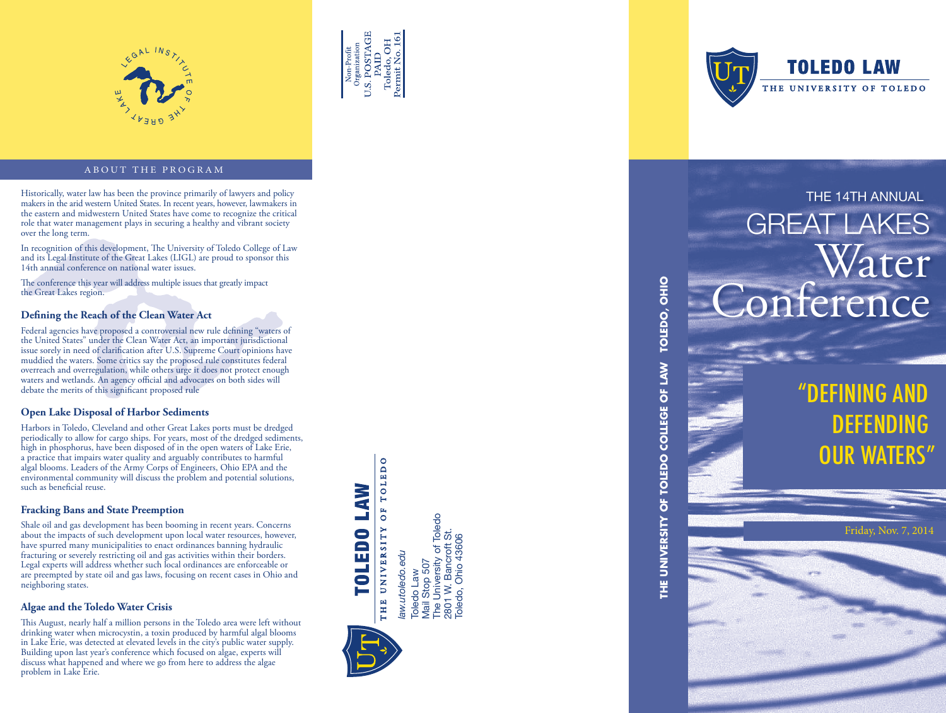



# ABOUT THE PROGRAM

Historically, water law has been the province primarily of lawyers and policy and policy and policy and policy and policy and the arid western United States. In recent years, however, lawmakers in a comparily of lawyers an the eastern and midwestern United States have come to recognize the critical role that water management plays in securing a healthy and vibrant society over the long term.

In recognition of this development, The University of Toledo College of Law and its Legal Institute of the Great Lakes (LIGL) are proud to sponsor this 14th annual conference on national water issues.

The conference this year will address multiple issues that greatly impact the Great Lakes region.

### **Defining the Reach of the Clean Water Act**

Federal agencies have proposed a controversial new rule defining "waters of the United States" under the Clean Water Act, an important jurisdictional issue sorely in need of clarification after U.S. Supreme Court opinions have muddied the waters. Some critics say the proposed rule constitutes federal overreach and overregulation, while others urge it does not protect enough waters and wetlands. An agency official and advocates on both sides will debate the merits of this significant proposed rule

# **Open Lake Disposal of Harbor Sediments**

Harbors in Toledo, Cleveland and other Great Lakes ports must be dredged periodically to allow for cargo ships. For years, most of the dredged sediments, high in phosphorus, have been disposed of in the open waters of Lake Erie, a practice that impairs water quality and arguably contributes to harmful algal blooms. Leaders of the Army Corps of Engineers, Ohio EPA and the environmental community will discuss the problem and potential solutions, such as beneficial reuse.

# **Fracking Bans and State Preemption**

Shale oil and gas development has been booming in recent years. Concerns about the impacts of such development upon local water resources, however, have spurred many municipalities to enact ordinances banning hydraulic fracturing or severely restricting oil and gas activities within their borders. Legal experts will address whether such local ordinances are enforceable or are preempted by state oil and gas laws, focusing on recent cases in Ohio and neighboring states.

## **Algae and the Toledo Water Crisis**

This August, nearly half a million persons in the Toledo area were left without drinking water when microcystin, a toxin produced by harmful algal blooms in Lake Erie, was detected at elevated levels in the city's public water supply. Building upon last year's conference which focused on algae, experts will discuss what happened and where we go from here to address the algae problem in Lake Erie.

OF TOLEDO TOLEDO LAW

Toledo Law<br>Mail Stop 507<br>The University of Toledo<br>2801 W. Bancroft St.<br>Toledo, Ohio 43606 The University of Toledo THE UNIVERSITY 2801 W. Bancroft St. Toledo, Ohio 43606law.utoledo.edu *law.utoledo.edu* Mail Stop 507 Toledo Law



**TOLEDO LAW** THE UNIVERSITY OF TOLEDO

# GREAT LAKES Water onference

**THE UNIVERSITY OF TOLEDO COLLEGE OF LAW TOLEDO, OHIO**

THE UNIVERSITY OF TOLEDO COLLEGE OF LAW

TOLEDO, OHIO

# "DEFINING AND DEFE OUR WATERS'

Friday, Nov. 7, 2014